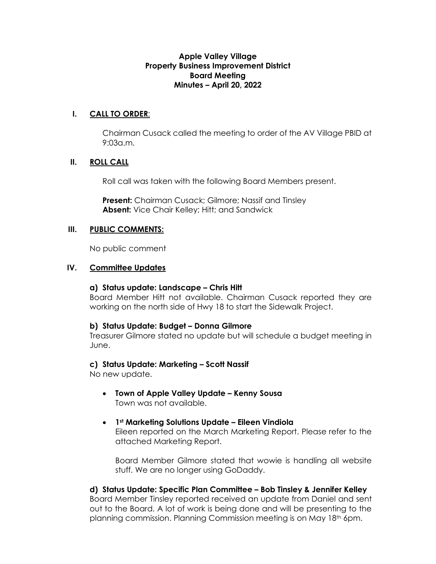## **Apple Valley Village Property Business Improvement District Board Meeting Minutes – April 20, 2022**

# **I. CALL TO ORDER**:

Chairman Cusack called the meeting to order of the AV Village PBID at 9:03a.m.

## **II. ROLL CALL**

Roll call was taken with the following Board Members present.

**Present:** Chairman Cusack; Gilmore; Nassif and Tinsley **Absent:** Vice Chair Kelley; Hitt; and Sandwick

## **III. PUBLIC COMMENTS:**

No public comment

## **IV. Committee Updates**

## **a) Status update: Landscape – Chris Hitt**

Board Member Hitt not available. Chairman Cusack reported they are working on the north side of Hwy 18 to start the Sidewalk Project.

## **b) Status Update: Budget – Donna Gilmore**

Treasurer Gilmore stated no update but will schedule a budget meeting in June.

## **c) Status Update: Marketing – Scott Nassif**

No new update.

- **Town of Apple Valley Update Kenny Sousa**  Town was not available.
- **1st Marketing Solutions Update Eileen Vindiola** Eileen reported on the March Marketing Report. Please refer to the attached Marketing Report.

Board Member Gilmore stated that wowie is handling all website stuff. We are no longer using GoDaddy.

**d) Status Update: Specific Plan Committee – Bob Tinsley & Jennifer Kelley** Board Member Tinsley reported received an update from Daniel and sent out to the Board. A lot of work is being done and will be presenting to the planning commission. Planning Commission meeting is on May 18th 6pm.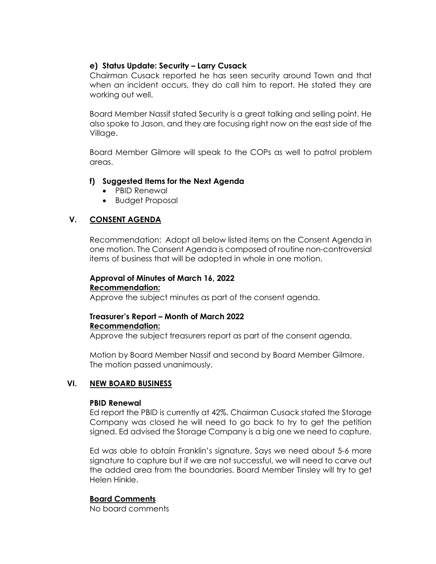# **e) Status Update: Security – Larry Cusack**

Chairman Cusack reported he has seen security around Town and that when an incident occurs, they do call him to report. He stated they are working out well.

Board Member Nassif stated Security is a great talking and selling point. He also spoke to Jason, and they are focusing right now on the east side of the Village.

Board Member Gilmore will speak to the COPs as well to patrol problem areas.

## **f) Suggested Items for the Next Agenda**

- PBID Renewal
- Budget Proposal

# **V. CONSENT AGENDA**

Recommendation: Adopt all below listed items on the Consent Agenda in one motion. The Consent Agenda is composed of routine non-controversial items of business that will be adopted in whole in one motion.

# **Approval of Minutes of March 16, 2022 Recommendation:**

Approve the subject minutes as part of the consent agenda.

# **Treasurer's Report – Month of March 2022 Recommendation:**

Approve the subject treasurers report as part of the consent agenda.

Motion by Board Member Nassif and second by Board Member Gilmore. The motion passed unanimously.

# **VI. NEW BOARD BUSINESS**

## **PBID Renewal**

Ed report the PBID is currently at 42%. Chairman Cusack stated the Storage Company was closed he will need to go back to try to get the petition signed. Ed advised the Storage Company is a big one we need to capture.

Ed was able to obtain Franklin's signature. Says we need about 5-6 more signature to capture but if we are not successful, we will need to carve out the added area from the boundaries. Board Member Tinsley will try to get Helen Hinkle.

## **Board Comments**

No board comments